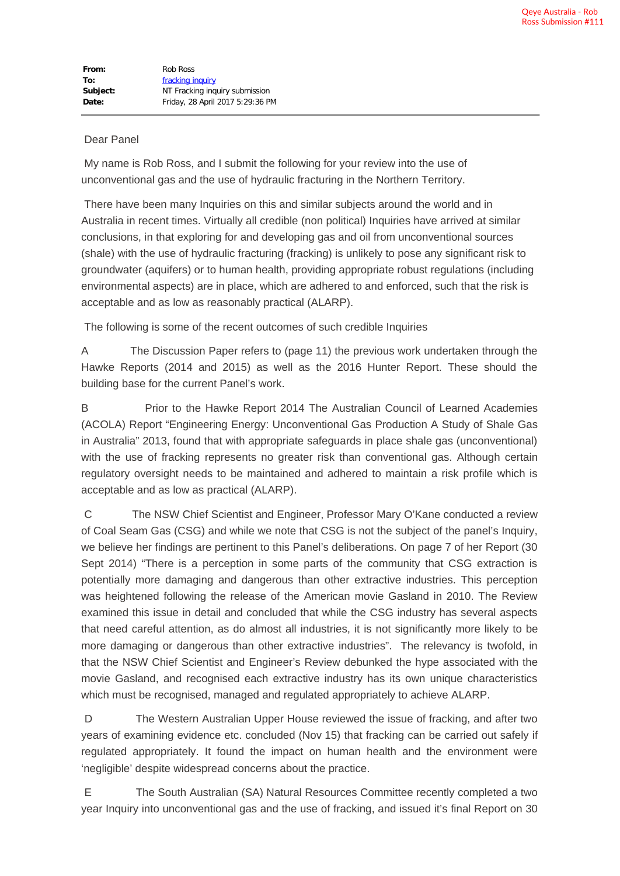## Dear Panel

 My name is Rob Ross, and I submit the following for your review into the use of unconventional gas and the use of hydraulic fracturing in the Northern Territory.

 There have been many Inquiries on this and similar subjects around the world and in Australia in recent times. Virtually all credible (non political) Inquiries have arrived at similar conclusions, in that exploring for and developing gas and oil from unconventional sources (shale) with the use of hydraulic fracturing (fracking) is unlikely to pose any significant risk to groundwater (aquifers) or to human health, providing appropriate robust regulations (including environmental aspects) are in place, which are adhered to and enforced, such that the risk is acceptable and as low as reasonably practical (ALARP).

The following is some of the recent outcomes of such credible Inquiries

A The Discussion Paper refers to (page 11) the previous work undertaken through the Hawke Reports (2014 and 2015) as well as the 2016 Hunter Report. These should the building base for the current Panel's work.

B Prior to the Hawke Report 2014 The Australian Council of Learned Academies (ACOLA) Report "Engineering Energy: Unconventional Gas Production A Study of Shale Gas in Australia" 2013, found that with appropriate safeguards in place shale gas (unconventional) with the use of fracking represents no greater risk than conventional gas. Although certain regulatory oversight needs to be maintained and adhered to maintain a risk profile which is acceptable and as low as practical (ALARP).

 C The NSW Chief Scientist and Engineer, Professor Mary O'Kane conducted a review of Coal Seam Gas (CSG) and while we note that CSG is not the subject of the panel's Inquiry, we believe her findings are pertinent to this Panel's deliberations. On page 7 of her Report (30 Sept 2014) "There is a perception in some parts of the community that CSG extraction is potentially more damaging and dangerous than other extractive industries. This perception was heightened following the release of the American movie Gasland in 2010. The Review examined this issue in detail and concluded that while the CSG industry has several aspects that need careful attention, as do almost all industries, it is not significantly more likely to be more damaging or dangerous than other extractive industries". The relevancy is twofold, in that the NSW Chief Scientist and Engineer's Review debunked the hype associated with the movie Gasland, and recognised each extractive industry has its own unique characteristics which must be recognised, managed and regulated appropriately to achieve ALARP.

 D The Western Australian Upper House reviewed the issue of fracking, and after two years of examining evidence etc. concluded (Nov 15) that fracking can be carried out safely if regulated appropriately. It found the impact on human health and the environment were 'negligible' despite widespread concerns about the practice.

 E The South Australian (SA) Natural Resources Committee recently completed a two year Inquiry into unconventional gas and the use of fracking, and issued it's final Report on 30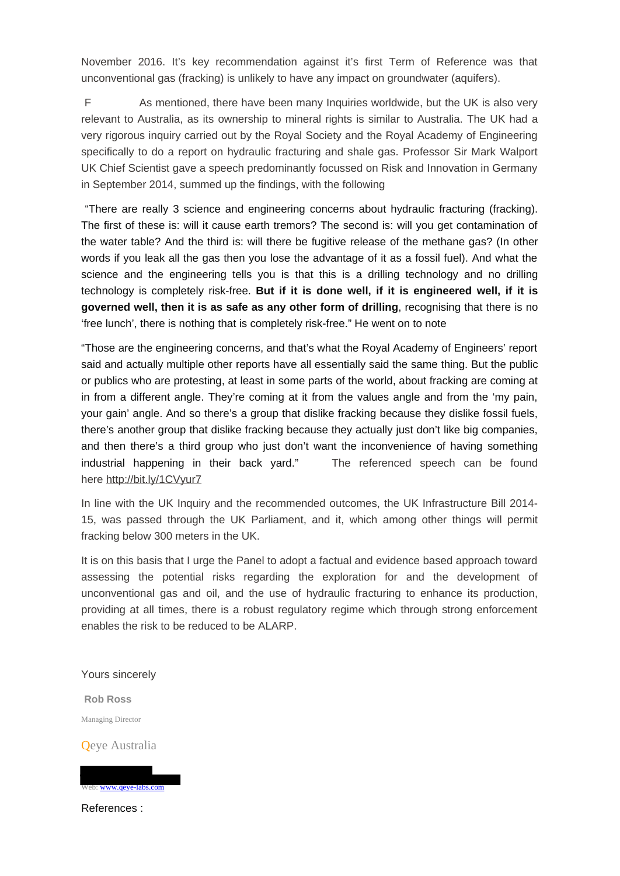November 2016. It's key recommendation against it's first Term of Reference was that unconventional gas (fracking) is unlikely to have any impact on groundwater (aquifers).

 F As mentioned, there have been many Inquiries worldwide, but the UK is also very relevant to Australia, as its ownership to mineral rights is similar to Australia. The UK had a very rigorous inquiry carried out by the Royal Society and the Royal Academy of Engineering specifically to do a report on hydraulic fracturing and shale gas. Professor Sir Mark Walport UK Chief Scientist gave a speech predominantly focussed on Risk and Innovation in Germany in September 2014, summed up the findings, with the following

 "There are really 3 science and engineering concerns about hydraulic fracturing (fracking). The first of these is: will it cause earth tremors? The second is: will you get contamination of the water table? And the third is: will there be fugitive release of the methane gas? (In other words if you leak all the gas then you lose the advantage of it as a fossil fuel). And what the science and the engineering tells you is that this is a drilling technology and no drilling technology is completely risk-free. **But if it is done well, if it is engineered well, if it is governed well, then it is as safe as any other form of drilling**, recognising that there is no 'free lunch', there is nothing that is completely risk-free." He went on to note

"Those are the engineering concerns, and that's what the Royal Academy of Engineers' report said and actually multiple other reports have all essentially said the same thing. But the public or publics who are protesting, at least in some parts of the world, about fracking are coming at in from a different angle. They're coming at it from the values angle and from the 'my pain, your gain' angle. And so there's a group that dislike fracking because they dislike fossil fuels, there's another group that dislike fracking because they actually just don't like big companies, and then there's a third group who just don't want the inconvenience of having something industrial happening in their back yard." The referenced speech can be found here [http://bit.ly/1CVyur7](https://mailtrack.io/trace/link/d1cd6e8b92d391810980ce9bc3345804000cb71a?url=http%3A%2F%2Fpesa.us9.list-manage2.com%2Ftrack%2Fclick%3Fu%3D6ccd42798cb22f546274936b3%26id%3D158a364db0%26e%3D506727acde&userId=921500&signature=377c75edbca154d9)

In line with the UK Inquiry and the recommended outcomes, the UK Infrastructure Bill 2014- 15, was passed through the UK Parliament, and it, which among other things will permit fracking below 300 meters in the UK.

It is on this basis that I urge the Panel to adopt a factual and evidence based approach toward assessing the potential risks regarding the exploration for and the development of unconventional gas and oil, and the use of hydraulic fracturing to enhance its production, providing at all times, there is a robust regulatory regime which through strong enforcement enables the risk to be reduced to be ALARP.

Yours sincerely

**Rob Ross** Managing Director

Qeye Australia



References :